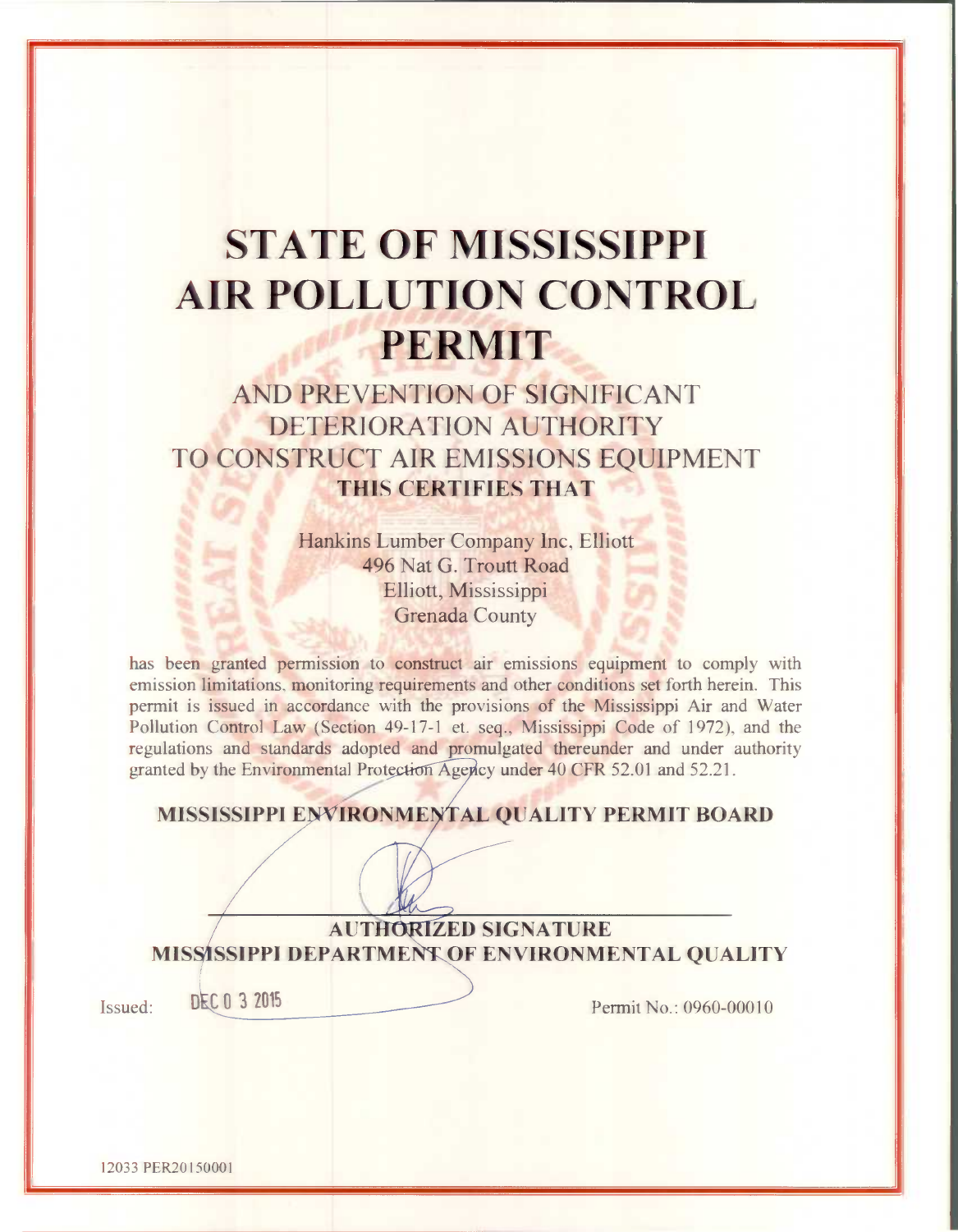# **STATE OF MISSISSIPPI AIR POLLUTION CONTROL PERMIT**

AND PREVENTION OF SIGNIFICANT DETERIORATION AUTHORITY TO CONSTRUCT AIR EMISSIONS EOUIPMENT THIS CERTIFIES THAT

> Hankins Lumber Company Inc, Elliott 496 Nat G. Troutt Road Elliott, Mississippi **Grenada County**

has been granted permission to construct air emissions equipment to comply with emission limitations, monitoring requirements and other conditions set forth herein. This permit is issued in accordance with the provisions of the Mississippi Air and Water Pollution Control Law (Section 49-17-1 et. seq., Mississippi Code of 1972), and the regulations and standards adopted and promulgated thereunder and under authority granted by the Environmental Protection Agency under 40 CFR 52.01 and 52.21.

MISSISSIPPI ENVIRONMENTAL QUALITY PERMIT BOARD

**AUTHORIZED SIGNATURE** MISSISSIPPI DEPARTMENT OF ENVIRONMENTAL QUALITY

Issued:

DEC 0 3 2015

Permit No.: 0960-00010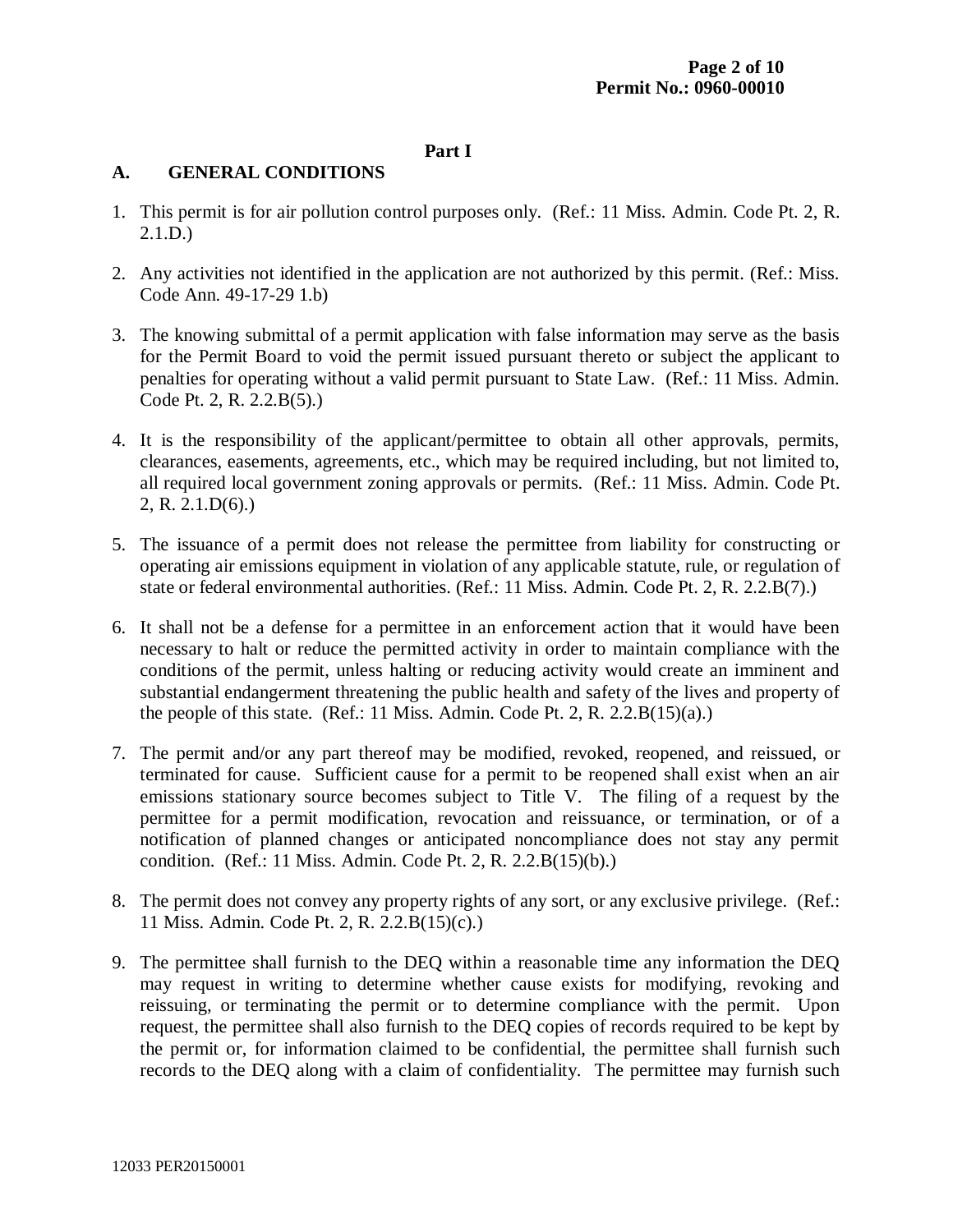# **Part I**

# **A. GENERAL CONDITIONS**

- 1. This permit is for air pollution control purposes only. (Ref.: 11 Miss. Admin. Code Pt. 2, R. 2.1.D.)
- 2. Any activities not identified in the application are not authorized by this permit. (Ref.: Miss. Code Ann. 49-17-29 1.b)
- 3. The knowing submittal of a permit application with false information may serve as the basis for the Permit Board to void the permit issued pursuant thereto or subject the applicant to penalties for operating without a valid permit pursuant to State Law. (Ref.: 11 Miss. Admin. Code Pt. 2, R. 2.2.B(5).)
- 4. It is the responsibility of the applicant/permittee to obtain all other approvals, permits, clearances, easements, agreements, etc., which may be required including, but not limited to, all required local government zoning approvals or permits. (Ref.: 11 Miss. Admin. Code Pt. 2, R. 2.1.D(6).)
- 5. The issuance of a permit does not release the permittee from liability for constructing or operating air emissions equipment in violation of any applicable statute, rule, or regulation of state or federal environmental authorities. (Ref.: 11 Miss. Admin. Code Pt. 2, R. 2.2.B(7).)
- 6. It shall not be a defense for a permittee in an enforcement action that it would have been necessary to halt or reduce the permitted activity in order to maintain compliance with the conditions of the permit, unless halting or reducing activity would create an imminent and substantial endangerment threatening the public health and safety of the lives and property of the people of this state. (Ref.: 11 Miss. Admin. Code Pt. 2, R. 2.2. $B(15)(a)$ .)
- 7. The permit and/or any part thereof may be modified, revoked, reopened, and reissued, or terminated for cause. Sufficient cause for a permit to be reopened shall exist when an air emissions stationary source becomes subject to Title V. The filing of a request by the permittee for a permit modification, revocation and reissuance, or termination, or of a notification of planned changes or anticipated noncompliance does not stay any permit condition. (Ref.: 11 Miss. Admin. Code Pt. 2, R. 2.2.B(15)(b).)
- 8. The permit does not convey any property rights of any sort, or any exclusive privilege. (Ref.: 11 Miss. Admin. Code Pt. 2, R. 2.2.B(15)(c).)
- 9. The permittee shall furnish to the DEQ within a reasonable time any information the DEQ may request in writing to determine whether cause exists for modifying, revoking and reissuing, or terminating the permit or to determine compliance with the permit. Upon request, the permittee shall also furnish to the DEQ copies of records required to be kept by the permit or, for information claimed to be confidential, the permittee shall furnish such records to the DEQ along with a claim of confidentiality. The permittee may furnish such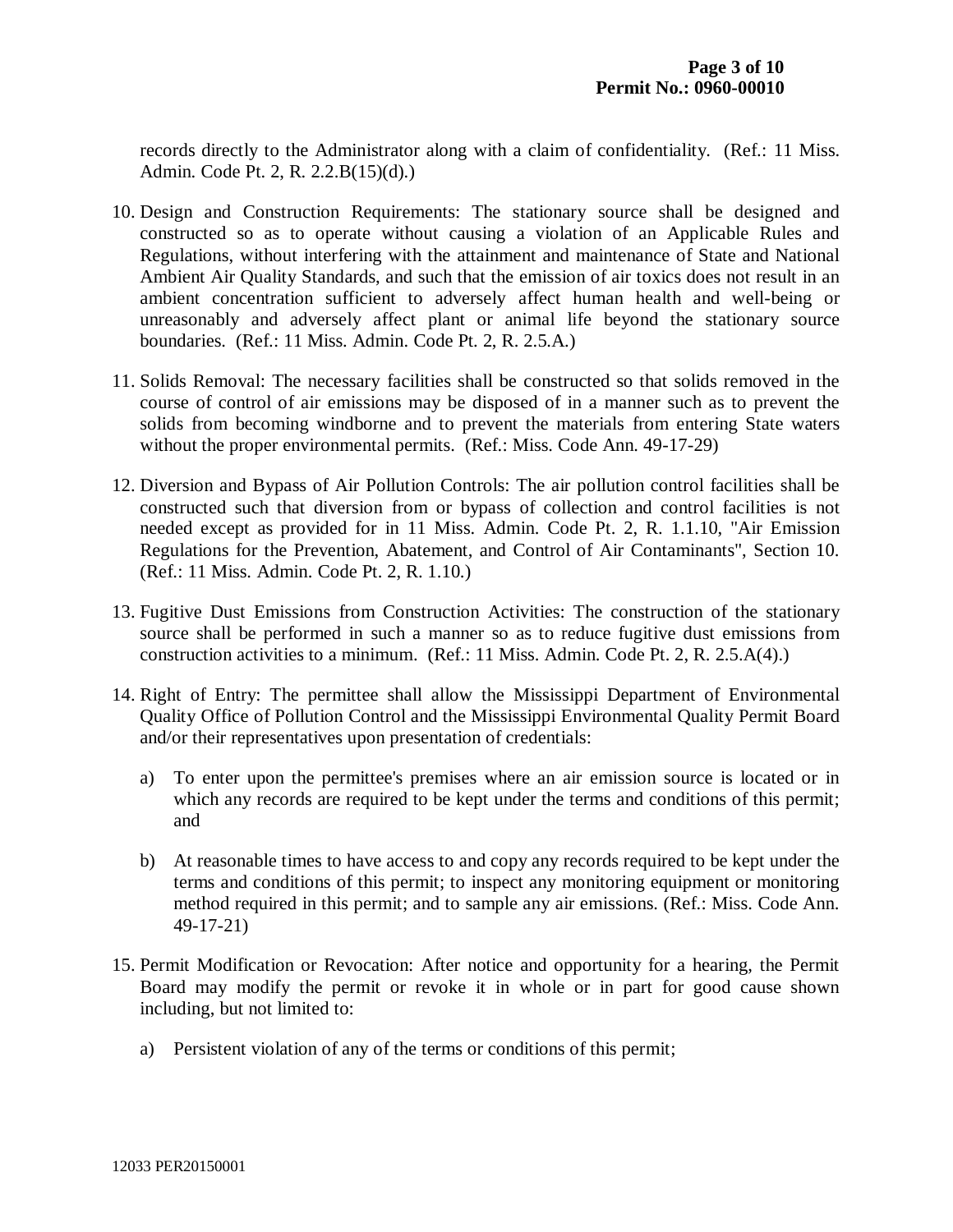records directly to the Administrator along with a claim of confidentiality. (Ref.: 11 Miss. Admin. Code Pt. 2, R. 2.2.B(15)(d).)

- 10. Design and Construction Requirements: The stationary source shall be designed and constructed so as to operate without causing a violation of an Applicable Rules and Regulations, without interfering with the attainment and maintenance of State and National Ambient Air Quality Standards, and such that the emission of air toxics does not result in an ambient concentration sufficient to adversely affect human health and well-being or unreasonably and adversely affect plant or animal life beyond the stationary source boundaries. (Ref.: 11 Miss. Admin. Code Pt. 2, R. 2.5.A.)
- 11. Solids Removal: The necessary facilities shall be constructed so that solids removed in the course of control of air emissions may be disposed of in a manner such as to prevent the solids from becoming windborne and to prevent the materials from entering State waters without the proper environmental permits. (Ref.: Miss. Code Ann. 49-17-29)
- 12. Diversion and Bypass of Air Pollution Controls: The air pollution control facilities shall be constructed such that diversion from or bypass of collection and control facilities is not needed except as provided for in 11 Miss. Admin. Code Pt. 2, R. 1.1.10, "Air Emission Regulations for the Prevention, Abatement, and Control of Air Contaminants", Section 10. (Ref.: 11 Miss. Admin. Code Pt. 2, R. 1.10.)
- 13. Fugitive Dust Emissions from Construction Activities: The construction of the stationary source shall be performed in such a manner so as to reduce fugitive dust emissions from construction activities to a minimum. (Ref.: 11 Miss. Admin. Code Pt. 2, R. 2.5.A(4).)
- 14. Right of Entry: The permittee shall allow the Mississippi Department of Environmental Quality Office of Pollution Control and the Mississippi Environmental Quality Permit Board and/or their representatives upon presentation of credentials:
	- a) To enter upon the permittee's premises where an air emission source is located or in which any records are required to be kept under the terms and conditions of this permit; and
	- b) At reasonable times to have access to and copy any records required to be kept under the terms and conditions of this permit; to inspect any monitoring equipment or monitoring method required in this permit; and to sample any air emissions. (Ref.: Miss. Code Ann. 49-17-21)
- 15. Permit Modification or Revocation: After notice and opportunity for a hearing, the Permit Board may modify the permit or revoke it in whole or in part for good cause shown including, but not limited to:
	- a) Persistent violation of any of the terms or conditions of this permit;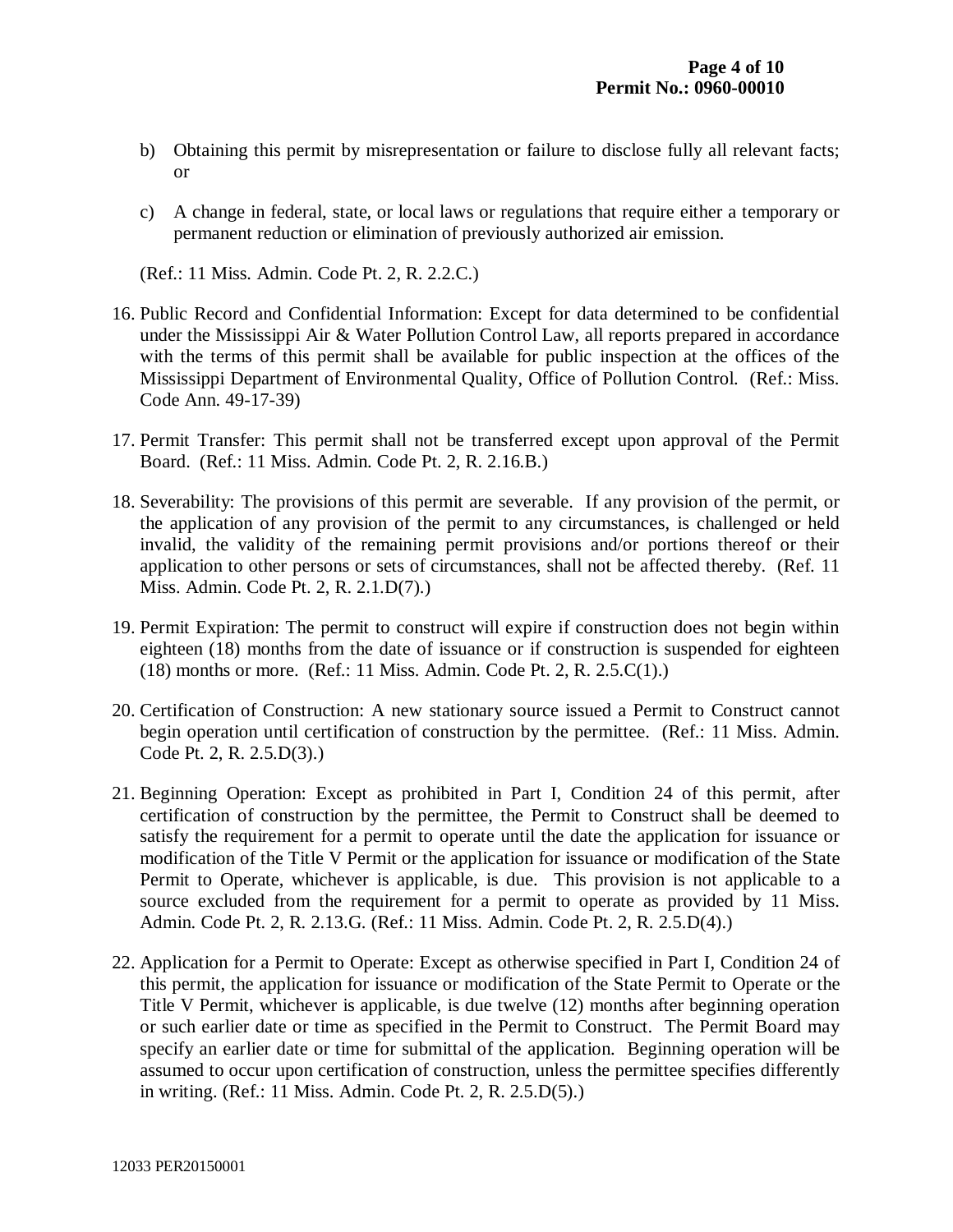- b) Obtaining this permit by misrepresentation or failure to disclose fully all relevant facts; or
- c) A change in federal, state, or local laws or regulations that require either a temporary or permanent reduction or elimination of previously authorized air emission.

(Ref.: 11 Miss. Admin. Code Pt. 2, R. 2.2.C.)

- 16. Public Record and Confidential Information: Except for data determined to be confidential under the Mississippi Air & Water Pollution Control Law, all reports prepared in accordance with the terms of this permit shall be available for public inspection at the offices of the Mississippi Department of Environmental Quality, Office of Pollution Control. (Ref.: Miss. Code Ann. 49-17-39)
- 17. Permit Transfer: This permit shall not be transferred except upon approval of the Permit Board. (Ref.: 11 Miss. Admin. Code Pt. 2, R. 2.16.B.)
- 18. Severability: The provisions of this permit are severable. If any provision of the permit, or the application of any provision of the permit to any circumstances, is challenged or held invalid, the validity of the remaining permit provisions and/or portions thereof or their application to other persons or sets of circumstances, shall not be affected thereby. (Ref. 11 Miss. Admin. Code Pt. 2, R. 2.1.D(7).)
- 19. Permit Expiration: The permit to construct will expire if construction does not begin within eighteen (18) months from the date of issuance or if construction is suspended for eighteen (18) months or more. (Ref.: 11 Miss. Admin. Code Pt. 2, R. 2.5.C(1).)
- 20. Certification of Construction: A new stationary source issued a Permit to Construct cannot begin operation until certification of construction by the permittee. (Ref.: 11 Miss. Admin. Code Pt. 2, R. 2.5.D(3).)
- 21. Beginning Operation: Except as prohibited in Part I, Condition 24 of this permit, after certification of construction by the permittee, the Permit to Construct shall be deemed to satisfy the requirement for a permit to operate until the date the application for issuance or modification of the Title V Permit or the application for issuance or modification of the State Permit to Operate, whichever is applicable, is due. This provision is not applicable to a source excluded from the requirement for a permit to operate as provided by 11 Miss. Admin. Code Pt. 2, R. 2.13.G. (Ref.: 11 Miss. Admin. Code Pt. 2, R. 2.5.D(4).)
- 22. Application for a Permit to Operate: Except as otherwise specified in Part I, Condition 24 of this permit, the application for issuance or modification of the State Permit to Operate or the Title V Permit, whichever is applicable, is due twelve (12) months after beginning operation or such earlier date or time as specified in the Permit to Construct. The Permit Board may specify an earlier date or time for submittal of the application. Beginning operation will be assumed to occur upon certification of construction, unless the permittee specifies differently in writing. (Ref.: 11 Miss. Admin. Code Pt. 2, R. 2.5.D(5).)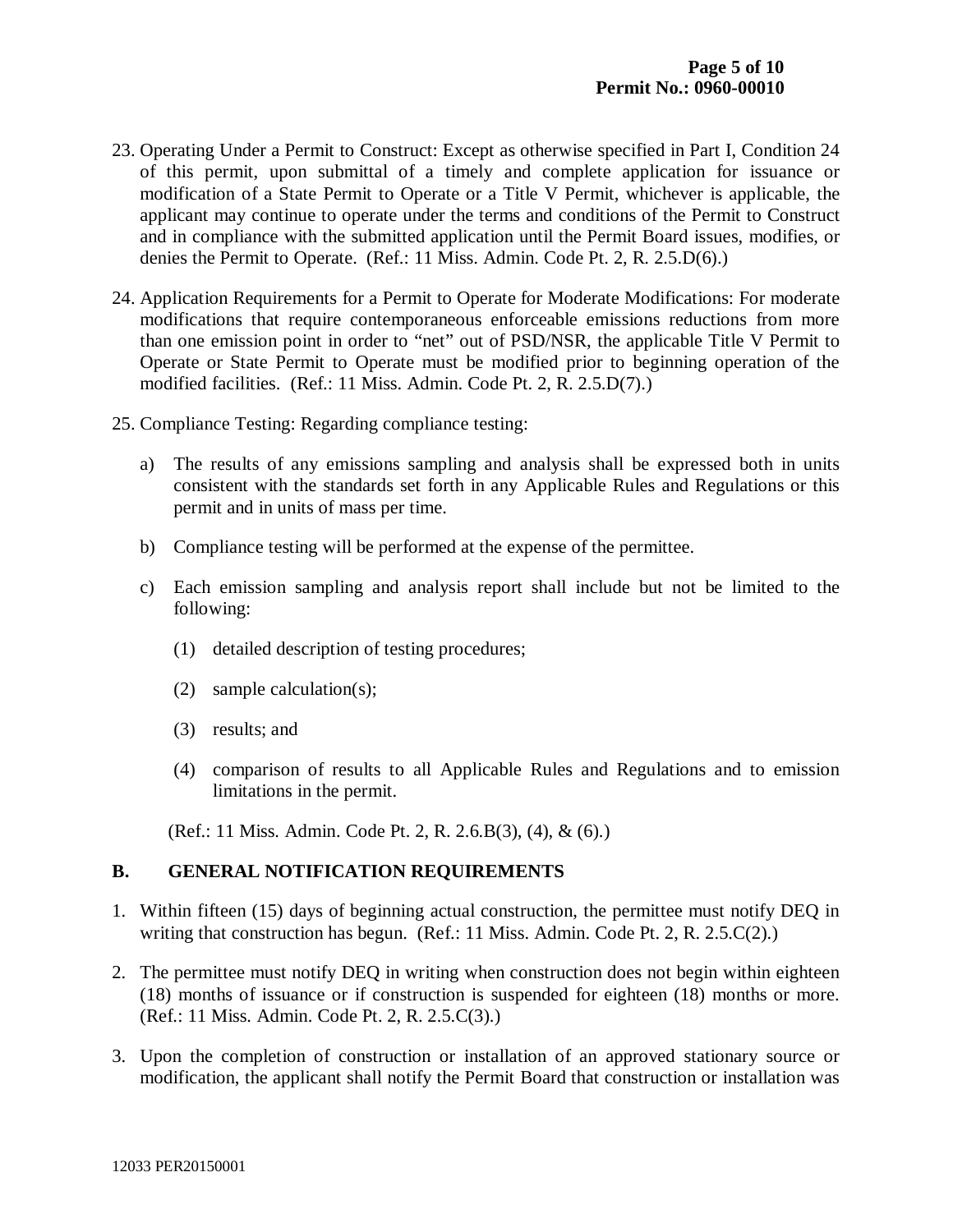- 23. Operating Under a Permit to Construct: Except as otherwise specified in Part I, Condition 24 of this permit, upon submittal of a timely and complete application for issuance or modification of a State Permit to Operate or a Title V Permit, whichever is applicable, the applicant may continue to operate under the terms and conditions of the Permit to Construct and in compliance with the submitted application until the Permit Board issues, modifies, or denies the Permit to Operate. (Ref.: 11 Miss. Admin. Code Pt. 2, R. 2.5.D(6).)
- 24. Application Requirements for a Permit to Operate for Moderate Modifications: For moderate modifications that require contemporaneous enforceable emissions reductions from more than one emission point in order to "net" out of PSD/NSR, the applicable Title V Permit to Operate or State Permit to Operate must be modified prior to beginning operation of the modified facilities. (Ref.: 11 Miss. Admin. Code Pt. 2, R. 2.5.D(7).)
- 25. Compliance Testing: Regarding compliance testing:
	- a) The results of any emissions sampling and analysis shall be expressed both in units consistent with the standards set forth in any Applicable Rules and Regulations or this permit and in units of mass per time.
	- b) Compliance testing will be performed at the expense of the permittee.
	- c) Each emission sampling and analysis report shall include but not be limited to the following:
		- (1) detailed description of testing procedures;
		- (2) sample calculation(s);
		- (3) results; and
		- (4) comparison of results to all Applicable Rules and Regulations and to emission limitations in the permit.

(Ref.: 11 Miss. Admin. Code Pt. 2, R. 2.6.B(3), (4), & (6).)

# **B. GENERAL NOTIFICATION REQUIREMENTS**

- 1. Within fifteen (15) days of beginning actual construction, the permittee must notify DEQ in writing that construction has begun. (Ref.: 11 Miss. Admin. Code Pt. 2, R. 2.5.C(2).)
- 2. The permittee must notify DEQ in writing when construction does not begin within eighteen (18) months of issuance or if construction is suspended for eighteen (18) months or more. (Ref.: 11 Miss. Admin. Code Pt. 2, R. 2.5.C(3).)
- 3. Upon the completion of construction or installation of an approved stationary source or modification, the applicant shall notify the Permit Board that construction or installation was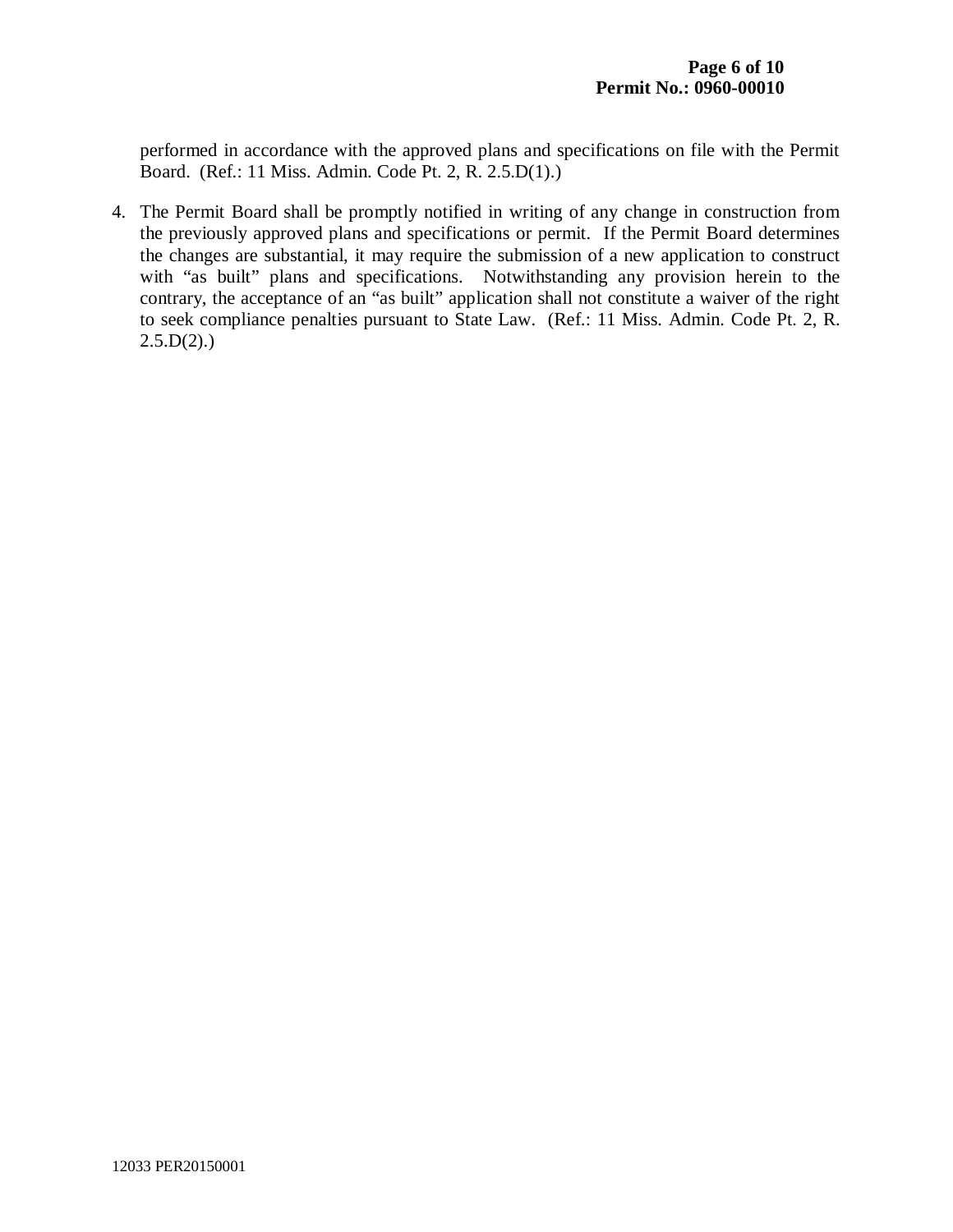performed in accordance with the approved plans and specifications on file with the Permit Board. (Ref.: 11 Miss. Admin. Code Pt. 2, R. 2.5.D(1).)

4. The Permit Board shall be promptly notified in writing of any change in construction from the previously approved plans and specifications or permit. If the Permit Board determines the changes are substantial, it may require the submission of a new application to construct with "as built" plans and specifications. Notwithstanding any provision herein to the contrary, the acceptance of an "as built" application shall not constitute a waiver of the right to seek compliance penalties pursuant to State Law. (Ref.: 11 Miss. Admin. Code Pt. 2, R.  $2.5.D(2).$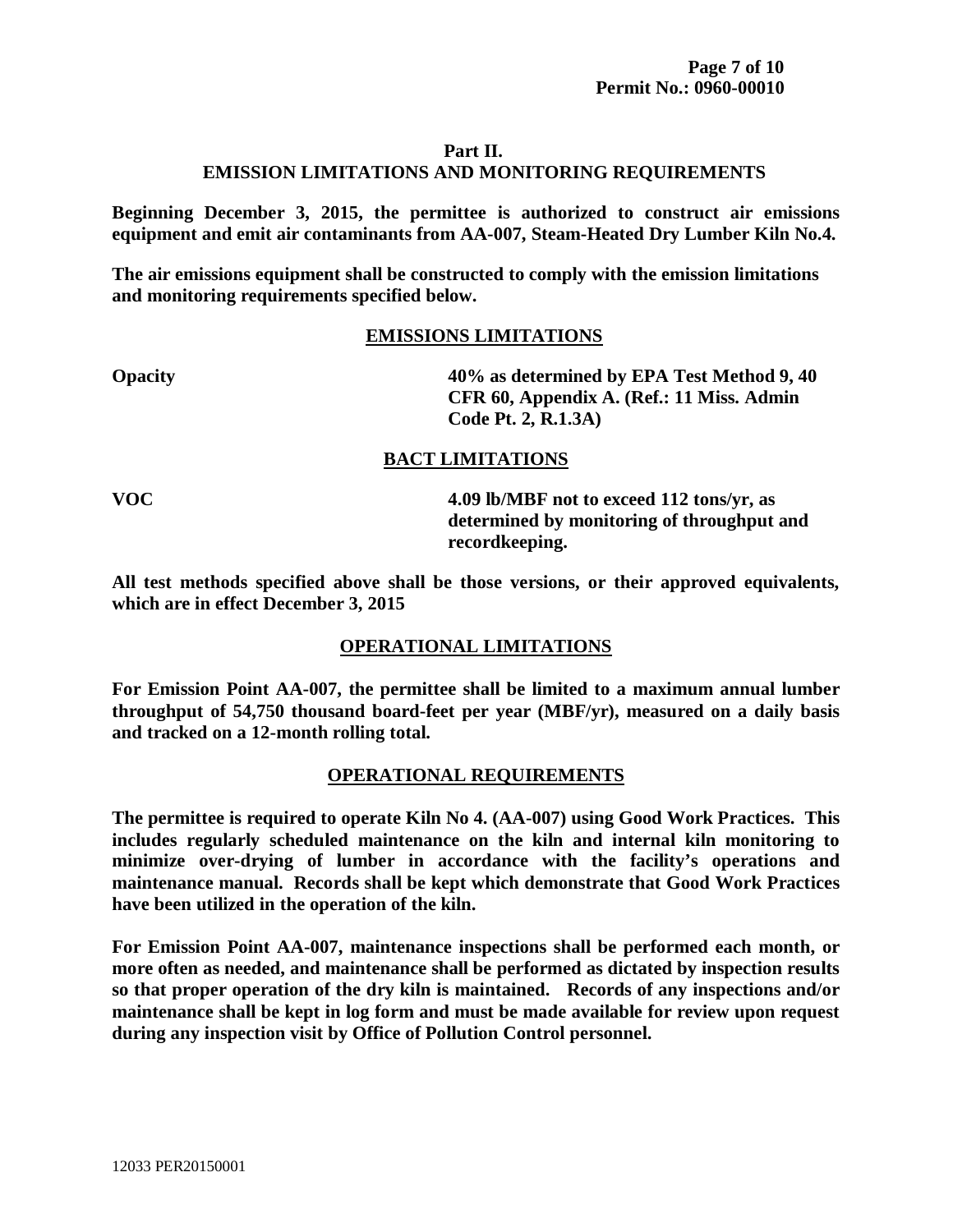#### **Part II.**

# **EMISSION LIMITATIONS AND MONITORING REQUIREMENTS**

**Beginning December 3, 2015, the permittee is authorized to construct air emissions equipment and emit air contaminants from AA-007, Steam-Heated Dry Lumber Kiln No.4.**

**The air emissions equipment shall be constructed to comply with the emission limitations and monitoring requirements specified below.**

#### **EMISSIONS LIMITATIONS**

**Opacity 40% as determined by EPA Test Method 9, 40 CFR 60, Appendix A. (Ref.: 11 Miss. Admin Code Pt. 2, R.1.3A)**

# **BACT LIMITATIONS**

**VOC 4.09 lb/MBF not to exceed 112 tons/yr, as determined by monitoring of throughput and recordkeeping.**

**All test methods specified above shall be those versions, or their approved equivalents, which are in effect December 3, 2015**

# **OPERATIONAL LIMITATIONS**

**For Emission Point AA-007, the permittee shall be limited to a maximum annual lumber throughput of 54,750 thousand board-feet per year (MBF/yr), measured on a daily basis and tracked on a 12-month rolling total.**

# **OPERATIONAL REQUIREMENTS**

**The permittee is required to operate Kiln No 4. (AA-007) using Good Work Practices. This includes regularly scheduled maintenance on the kiln and internal kiln monitoring to minimize over-drying of lumber in accordance with the facility's operations and maintenance manual. Records shall be kept which demonstrate that Good Work Practices have been utilized in the operation of the kiln.** 

**For Emission Point AA-007, maintenance inspections shall be performed each month, or more often as needed, and maintenance shall be performed as dictated by inspection results so that proper operation of the dry kiln is maintained. Records of any inspections and/or maintenance shall be kept in log form and must be made available for review upon request during any inspection visit by Office of Pollution Control personnel.**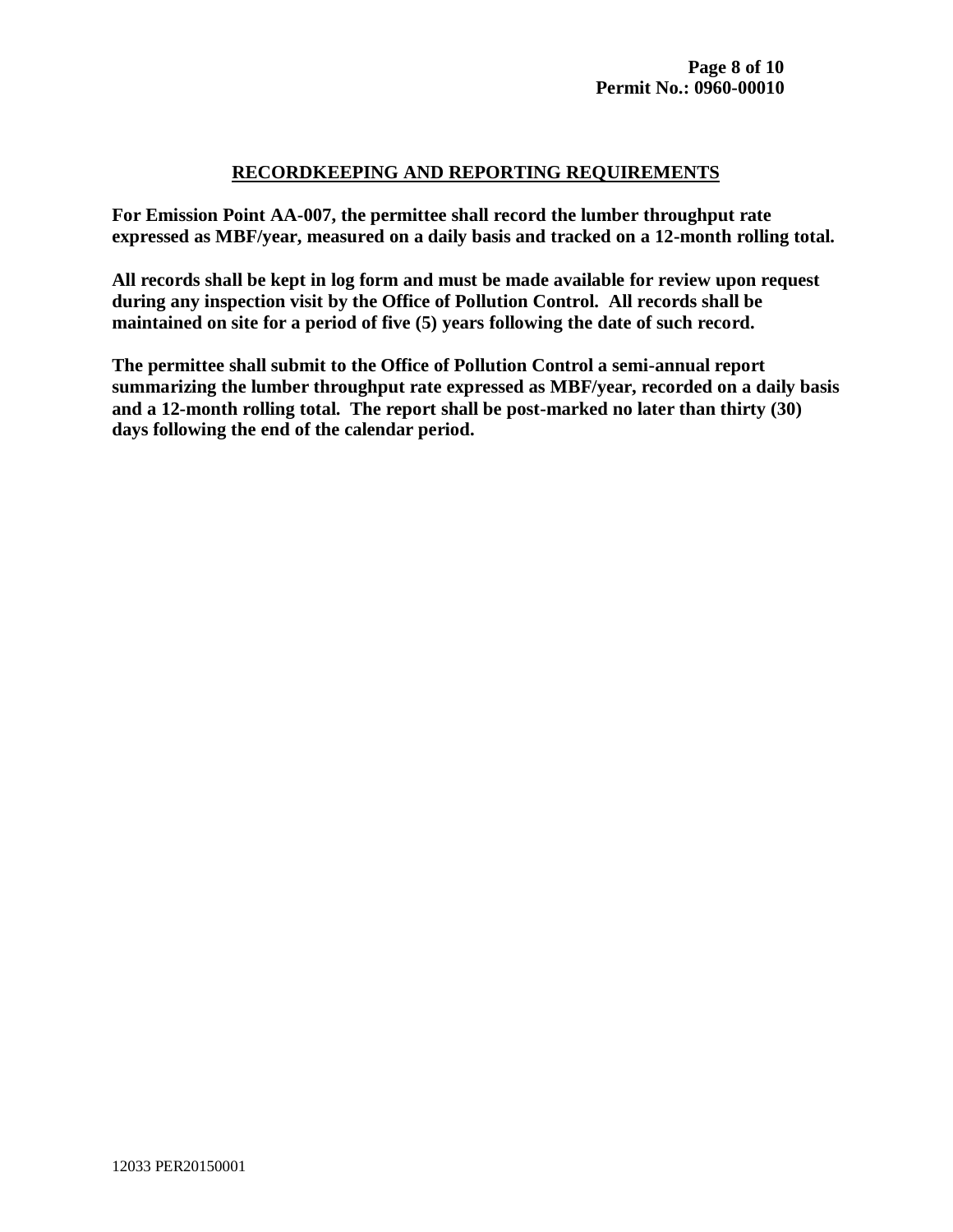# **RECORDKEEPING AND REPORTING REQUIREMENTS**

**For Emission Point AA-007, the permittee shall record the lumber throughput rate expressed as MBF/year, measured on a daily basis and tracked on a 12-month rolling total.**

**All records shall be kept in log form and must be made available for review upon request during any inspection visit by the Office of Pollution Control. All records shall be maintained on site for a period of five (5) years following the date of such record.**

**The permittee shall submit to the Office of Pollution Control a semi-annual report summarizing the lumber throughput rate expressed as MBF/year, recorded on a daily basis and a 12-month rolling total. The report shall be post-marked no later than thirty (30) days following the end of the calendar period.**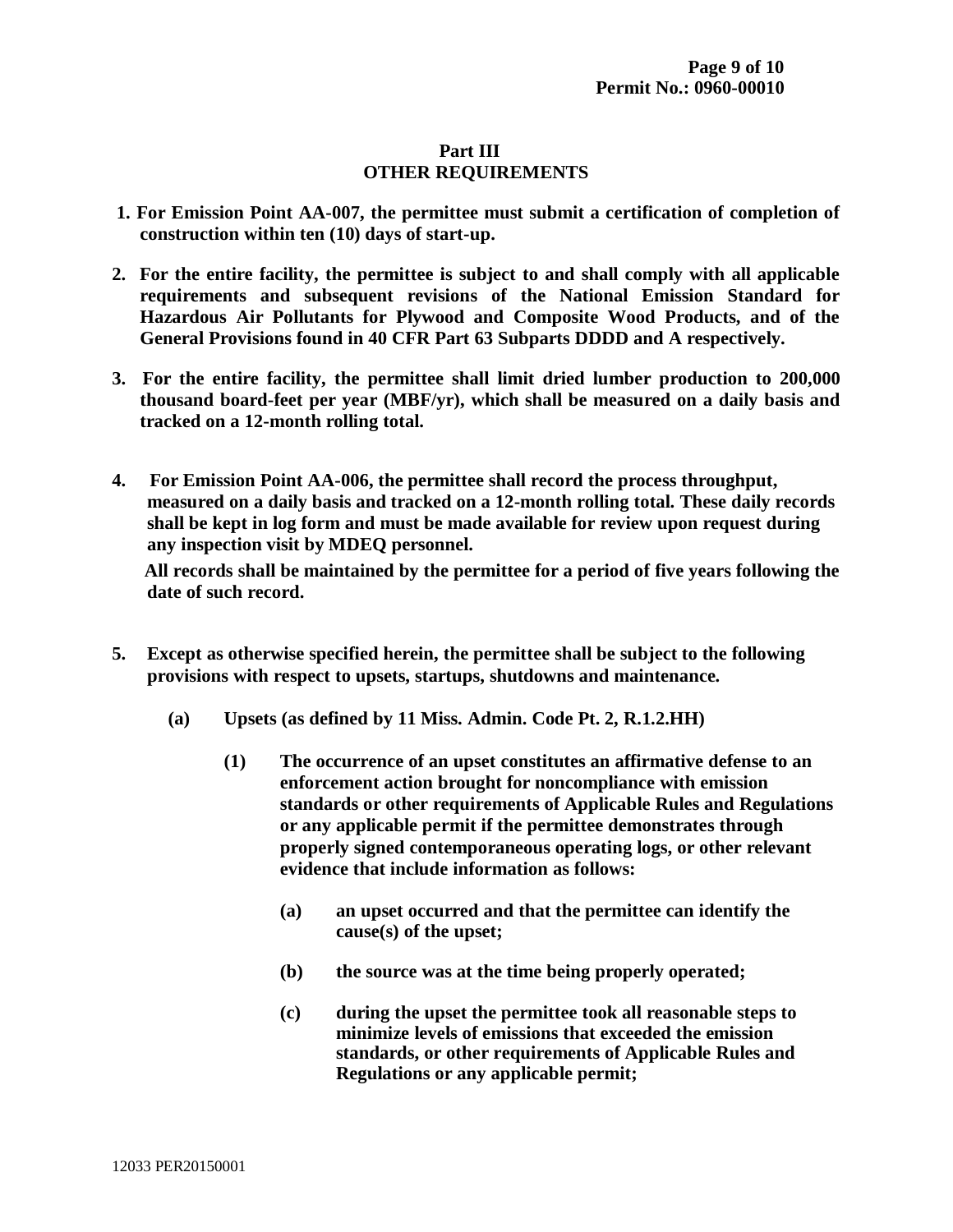# **Part III OTHER REQUIREMENTS**

- **1. For Emission Point AA-007, the permittee must submit a certification of completion of construction within ten (10) days of start-up.**
- **2. For the entire facility, the permittee is subject to and shall comply with all applicable requirements and subsequent revisions of the National Emission Standard for Hazardous Air Pollutants for Plywood and Composite Wood Products, and of the General Provisions found in 40 CFR Part 63 Subparts DDDD and A respectively.**
- **3. For the entire facility, the permittee shall limit dried lumber production to 200,000 thousand board-feet per year (MBF/yr), which shall be measured on a daily basis and tracked on a 12-month rolling total.**
- **4. For Emission Point AA-006, the permittee shall record the process throughput, measured on a daily basis and tracked on a 12-month rolling total. These daily records shall be kept in log form and must be made available for review upon request during any inspection visit by MDEQ personnel.**

 **All records shall be maintained by the permittee for a period of five years following the date of such record.** 

- **5. Except as otherwise specified herein, the permittee shall be subject to the following provisions with respect to upsets, startups, shutdowns and maintenance.**
	- **(a) Upsets (as defined by 11 Miss. Admin. Code Pt. 2, R.1.2.HH)**
		- **(1) The occurrence of an upset constitutes an affirmative defense to an enforcement action brought for noncompliance with emission standards or other requirements of Applicable Rules and Regulations or any applicable permit if the permittee demonstrates through properly signed contemporaneous operating logs, or other relevant evidence that include information as follows:**
			- **(a) an upset occurred and that the permittee can identify the cause(s) of the upset;**
			- **(b) the source was at the time being properly operated;**
			- **(c) during the upset the permittee took all reasonable steps to minimize levels of emissions that exceeded the emission standards, or other requirements of Applicable Rules and Regulations or any applicable permit;**